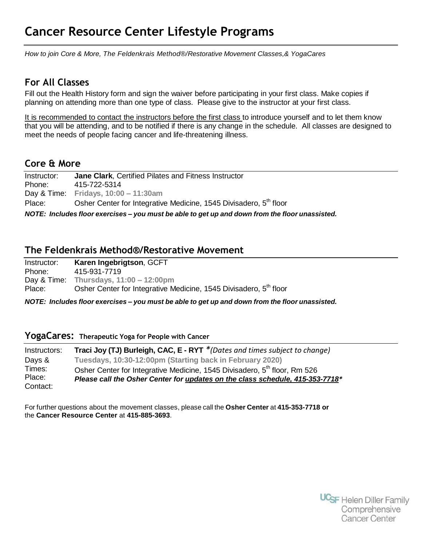# **Cancer Resource Center Lifestyle Programs**

*How to join Core & More, The Feldenkrais Method®/Restorative Movement Classes,& YogaCares*

# **For All Classes**

Fill out the Health History form and sign the waiver before participating in your first class. Make copies if planning on attending more than one type of class. Please give to the instructor at your first class.

It is recommended to contact the instructors before the first class to introduce yourself and to let them know that you will be attending, and to be notified if there is any change in the schedule. All classes are designed to meet the needs of people facing cancer and life-threatening illness.

# **Core & More**

Instructor: **Jane Clark**, Certified Pilates and Fitness Instructor Phone: 415-722-5314 Day & Time: **Fridays, 10:00 – 11:30am** Place: Osher Center for Integrative Medicine, 1545 Divisadero, 5<sup>th</sup> floor *NOTE: Includes floor exercises – you must be able to get up and down from the floor unassisted.*

### **The Feldenkrais Method®/Restorative Movement**

| Instructor: | Karen Ingebrigtson, GCFT                                          |
|-------------|-------------------------------------------------------------------|
| Phone:      | 415-931-7719                                                      |
|             | Day & Time: Thursdays, $11:00 - 12:00 \text{pm}$                  |
| Place:      | Osher Center for Integrative Medicine, 1545 Divisadero, 5th floor |

*NOTE: Includes floor exercises – you must be able to get up and down from the floor unassisted.*

#### **YogaCares: Therapeutic Yoga for People with Cancer**

| Instructors: | Traci Joy (TJ) Burleigh, CAC, E - RYT *(Dates and times subject to change)            |
|--------------|---------------------------------------------------------------------------------------|
| Days &       | Tuesdays, 10:30-12:00pm (Starting back in February 2020)                              |
| Times:       | Osher Center for Integrative Medicine, 1545 Divisadero, 5 <sup>th</sup> floor, Rm 526 |
| Place:       | Please call the Osher Center for updates on the class schedule, 415-353-7718*         |
| Contact:     |                                                                                       |

For further questions about the movement classes, please call the **Osher Center** at **415-353-7718 or**  the **Cancer Resource Center** at **415-885-3693**.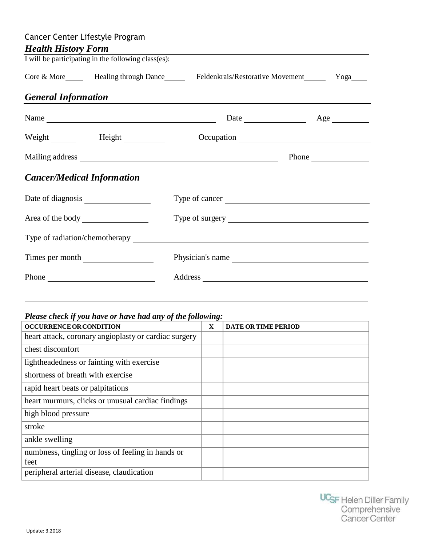| Cancer Center Lifestyle Program   |                                                     |                                                                                                                       |                |  |  |
|-----------------------------------|-----------------------------------------------------|-----------------------------------------------------------------------------------------------------------------------|----------------|--|--|
| <b>Health History Form</b>        |                                                     |                                                                                                                       |                |  |  |
|                                   | I will be participating in the following class(es): |                                                                                                                       |                |  |  |
|                                   |                                                     | Core & More_______ Healing through Dance________ Feldenkrais/Restorative Movement________ Yoga____                    |                |  |  |
| <b>General Information</b>        |                                                     | <u> 1989 - Jan Sterlinger, skriuwer fan it ferstjer fan de Amerikaanske kommunenter fan de Amerikaanske kommunent</u> |                |  |  |
|                                   | Name                                                |                                                                                                                       |                |  |  |
|                                   | Weight Height Height                                |                                                                                                                       |                |  |  |
|                                   |                                                     |                                                                                                                       | Phone $\qquad$ |  |  |
| <b>Cancer/Medical Information</b> |                                                     |                                                                                                                       |                |  |  |
|                                   |                                                     | Type of cancer                                                                                                        |                |  |  |
|                                   |                                                     |                                                                                                                       |                |  |  |
|                                   |                                                     |                                                                                                                       |                |  |  |
|                                   | Times per month                                     | Physician's name                                                                                                      |                |  |  |
|                                   | Phone                                               |                                                                                                                       |                |  |  |

# *Please check if you have or have had any of the following:*

| <b>OCCURRENCE OR CONDITION</b>                            | X | <b>DATE OR TIME PERIOD</b> |
|-----------------------------------------------------------|---|----------------------------|
| heart attack, coronary angioplasty or cardiac surgery     |   |                            |
| chest discomfort                                          |   |                            |
| lightheadedness or fainting with exercise                 |   |                            |
| shortness of breath with exercise                         |   |                            |
| rapid heart beats or palpitations                         |   |                            |
| heart murmurs, clicks or unusual cardiac findings         |   |                            |
| high blood pressure                                       |   |                            |
| stroke                                                    |   |                            |
| ankle swelling                                            |   |                            |
| numbness, tingling or loss of feeling in hands or<br>feet |   |                            |
| peripheral arterial disease, claudication                 |   |                            |
|                                                           |   |                            |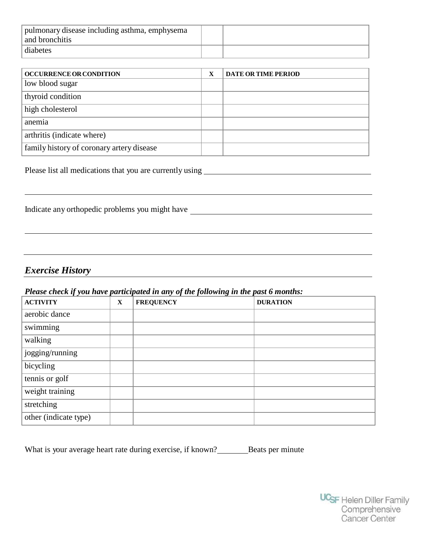| pulmonary disease including asthma, emphysema<br>and bronchitis |  |
|-----------------------------------------------------------------|--|
| diabetes                                                        |  |

| <b>OCCURRENCE OR CONDITION</b>            | X | <b>DATE OR TIME PERIOD</b> |
|-------------------------------------------|---|----------------------------|
| low blood sugar                           |   |                            |
| thyroid condition                         |   |                            |
| high cholesterol                          |   |                            |
| anemia                                    |   |                            |
| arthritis (indicate where)                |   |                            |
| family history of coronary artery disease |   |                            |

Please list all medications that you are currently using <u>equal to the set of the set of the set of the set of the set of the set of the set of the set of the set of the set of the set of the set of the set of the set of t</u>

Indicate any orthopedic problems you might have

# *Exercise History*

#### *Please check if you have participated in any of the following in the past 6 months:*

| . <b>. .</b> .<br><b>ACTIVITY</b> | X | $\sim$ $\sim$ $\sim$ $\sim$ $\sim$ $\sim$ $\sim$<br><b>FREQUENCY</b> | <b>DURATION</b> |
|-----------------------------------|---|----------------------------------------------------------------------|-----------------|
| aerobic dance                     |   |                                                                      |                 |
| swimming                          |   |                                                                      |                 |
| walking                           |   |                                                                      |                 |
| jogging/running                   |   |                                                                      |                 |
| bicycling                         |   |                                                                      |                 |
| tennis or golf                    |   |                                                                      |                 |
| weight training                   |   |                                                                      |                 |
| stretching                        |   |                                                                      |                 |
| other (indicate type)             |   |                                                                      |                 |

What is your average heart rate during exercise, if known?\_\_\_\_\_\_\_\_\_\_Beats per minute